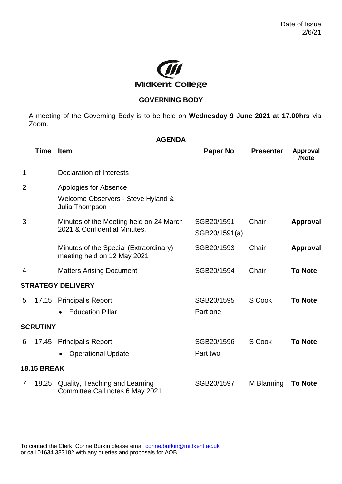

## **GOVERNING BODY**

A meeting of the Governing Body is to be held on **Wednesday 9 June 2021 at 17.00hrs** via Zoom.

| <b>AGENDA</b>            |                    |                                                                               |                             |                  |                          |  |  |  |  |
|--------------------------|--------------------|-------------------------------------------------------------------------------|-----------------------------|------------------|--------------------------|--|--|--|--|
|                          | <b>Time</b>        | <b>Item</b>                                                                   | <b>Paper No</b>             | <b>Presenter</b> | <b>Approval</b><br>/Note |  |  |  |  |
| 1                        |                    | <b>Declaration of Interests</b>                                               |                             |                  |                          |  |  |  |  |
| $\overline{2}$           |                    | Apologies for Absence<br>Welcome Observers - Steve Hyland &<br>Julia Thompson |                             |                  |                          |  |  |  |  |
| 3                        |                    | Minutes of the Meeting held on 24 March<br>2021 & Confidential Minutes.       | SGB20/1591<br>SGB20/1591(a) | Chair            | <b>Approval</b>          |  |  |  |  |
|                          |                    | Minutes of the Special (Extraordinary)<br>meeting held on 12 May 2021         | SGB20/1593                  | Chair            | <b>Approval</b>          |  |  |  |  |
| 4                        |                    | <b>Matters Arising Document</b>                                               | SGB20/1594                  | Chair            | <b>To Note</b>           |  |  |  |  |
| <b>STRATEGY DELIVERY</b> |                    |                                                                               |                             |                  |                          |  |  |  |  |
| 5                        | 17.15              | <b>Principal's Report</b><br><b>Education Pillar</b>                          | SGB20/1595<br>Part one      | S Cook           | <b>To Note</b>           |  |  |  |  |
|                          | <b>SCRUTINY</b>    |                                                                               |                             |                  |                          |  |  |  |  |
| 6                        | 17.45              | <b>Principal's Report</b><br><b>Operational Update</b>                        | SGB20/1596<br>Part two      | S Cook           | <b>To Note</b>           |  |  |  |  |
|                          | <b>18.15 BREAK</b> |                                                                               |                             |                  |                          |  |  |  |  |
| $\overline{7}$           | 18.25              | Quality, Teaching and Learning<br>Committee Call notes 6 May 2021             | SGB20/1597                  | M Blanning       | <b>To Note</b>           |  |  |  |  |

To contact the Clerk, Corine Burkin please email **corine.burkin@midkent.ac.uk** or call 01634 383182 with any queries and proposals for AOB.